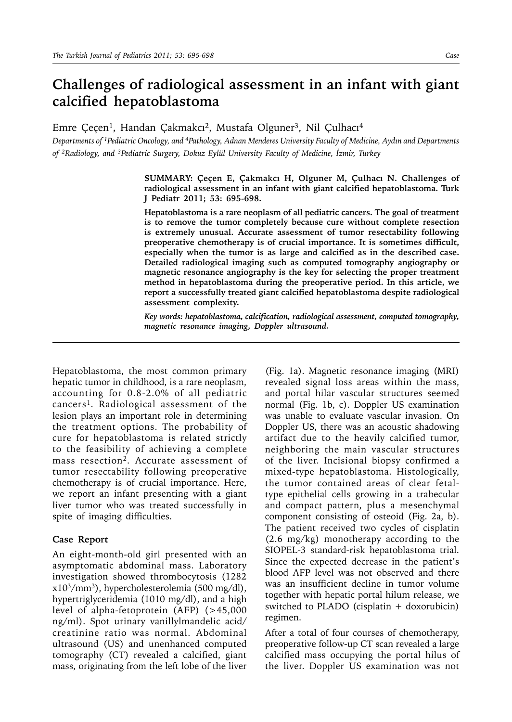## **Challenges of radiological assessment in an infant with giant calcified hepatoblastoma**

Emre Çeçen<sup>1</sup>, Handan Çakmakcı<sup>2</sup>, Mustafa Olguner<sup>3</sup>, Nil Çulhacı<sup>4</sup>

*Departments of 1Pediatric Oncology, and 4Pathology, Adnan Menderes University Faculty of Medicine, Aydın and Departments of 2Radiology, and 3Pediatric Surgery, Dokuz Eylül University Faculty of Medicine, İzmir, Turkey*

> **SUMMARY: Çeçen E, Çakmakcı H, Olguner M, Çulhacı N. Challenges of radiological assessment in an infant with giant calcified hepatoblastoma. Turk J Pediatr 2011; 53: 695-698.**

> **Hepatoblastoma is a rare neoplasm of all pediatric cancers. The goal of treatment is to remove the tumor completely because cure without complete resection is extremely unusual. Accurate assessment of tumor resectability following preoperative chemotherapy is of crucial importance. It is sometimes difficult, especially when the tumor is as large and calcified as in the described case. Detailed radiological imaging such as computed tomography angiography or magnetic resonance angiography is the key for selecting the proper treatment method in hepatoblastoma during the preoperative period. In this article, we report a successfully treated giant calcified hepatoblastoma despite radiological assessment complexity.**

> *Key words: hepatoblastoma, calcification, radiological assessment, computed tomography, magnetic resonance imaging, Doppler ultrasound.*

Hepatoblastoma, the most common primary hepatic tumor in childhood, is a rare neoplasm, accounting for 0.8-2.0% of all pediatric cancers<sup>1</sup>. Radiological assessment of the lesion plays an important role in determining the treatment options. The probability of cure for hepatoblastoma is related strictly to the feasibility of achieving a complete mass resection<sup>2</sup>. Accurate assessment of tumor resectability following preoperative chemotherapy is of crucial importance. Here, we report an infant presenting with a giant liver tumor who was treated successfully in spite of imaging difficulties.

## **Case Report**

An eight-month-old girl presented with an asymptomatic abdominal mass. Laboratory investigation showed thrombocytosis (1282 x103/mm3), hypercholesterolemia (500 mg/dl), hypertriglyceridemia (1010 mg/dl), and a high level of alpha-fetoprotein (AFP) (>45,000 ng/ml). Spot urinary vanillylmandelic acid/ creatinine ratio was normal. Abdominal ultrasound (US) and unenhanced computed tomography (CT) revealed a calcified, giant mass, originating from the left lobe of the liver

(Fig. 1a). Magnetic resonance imaging (MRI) revealed signal loss areas within the mass, and portal hilar vascular structures seemed normal (Fig. 1b, c). Doppler US examination was unable to evaluate vascular invasion. On Doppler US, there was an acoustic shadowing artifact due to the heavily calcified tumor, neighboring the main vascular structures of the liver. Incisional biopsy confirmed a mixed-type hepatoblastoma. Histologically, the tumor contained areas of clear fetaltype epithelial cells growing in a trabecular and compact pattern, plus a mesenchymal component consisting of osteoid (Fig. 2a, b). The patient received two cycles of cisplatin (2.6 mg/kg) monotherapy according to the SIOPEL-3 standard-risk hepatoblastoma trial. Since the expected decrease in the patient's blood AFP level was not observed and there was an insufficient decline in tumor volume together with hepatic portal hilum release, we switched to PLADO (cisplatin + doxorubicin) regimen.

After a total of four courses of chemotherapy, preoperative follow-up CT scan revealed a large calcified mass occupying the portal hilus of the liver. Doppler US examination was not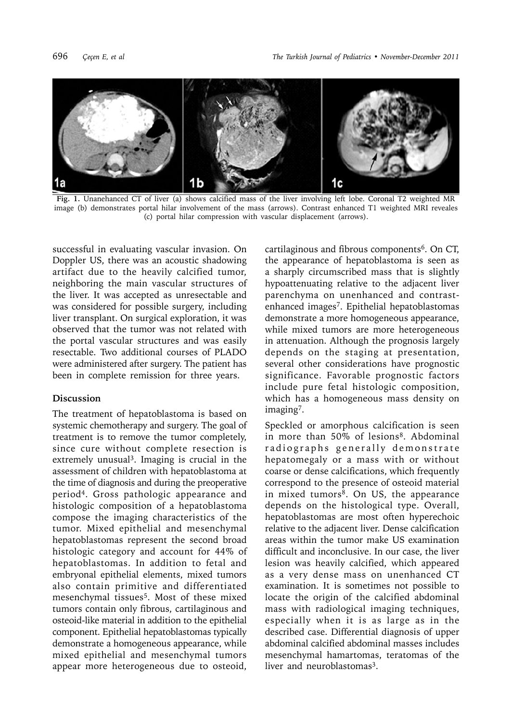

**Fig. 1.** Unanehanced CT of liver (a) shows calcified mass of the liver involving left lobe. Coronal T2 weighted MR image (b) demonstrates portal hilar involvement of the mass (arrows). Contrast enhanced T1 weighted MRI reveales (c) portal hilar compression with vascular displacement (arrows).

successful in evaluating vascular invasion. On Doppler US, there was an acoustic shadowing artifact due to the heavily calcified tumor, neighboring the main vascular structures of the liver. It was accepted as unresectable and was considered for possible surgery, including liver transplant. On surgical exploration, it was observed that the tumor was not related with the portal vascular structures and was easily resectable. Two additional courses of PLADO were administered after surgery. The patient has been in complete remission for three years.

## **Discussion**

The treatment of hepatoblastoma is based on systemic chemotherapy and surgery. The goal of treatment is to remove the tumor completely, since cure without complete resection is extremely unusual<sup>3</sup>. Imaging is crucial in the assessment of children with hepatoblastoma at the time of diagnosis and during the preoperative period4. Gross pathologic appearance and histologic composition of a hepatoblastoma compose the imaging characteristics of the tumor. Mixed epithelial and mesenchymal hepatoblastomas represent the second broad histologic category and account for 44% of hepatoblastomas. In addition to fetal and embryonal epithelial elements, mixed tumors also contain primitive and differentiated mesenchymal tissues<sup>5</sup>. Most of these mixed tumors contain only fibrous, cartilaginous and osteoid-like material in addition to the epithelial component. Epithelial hepatoblastomas typically demonstrate a homogeneous appearance, while mixed epithelial and mesenchymal tumors appear more heterogeneous due to osteoid, cartilaginous and fibrous components<sup>6</sup>. On CT, the appearance of hepatoblastoma is seen as a sharply circumscribed mass that is slightly hypoattenuating relative to the adjacent liver parenchyma on unenhanced and contrastenhanced images7. Epithelial hepatoblastomas demonstrate a more homogeneous appearance, while mixed tumors are more heterogeneous in attenuation. Although the prognosis largely depends on the staging at presentation, several other considerations have prognostic significance. Favorable prognostic factors include pure fetal histologic composition, which has a homogeneous mass density on imaging7.

Speckled or amorphous calcification is seen in more than 50% of lesions<sup>8</sup>. Abdominal radiographs generally demonstrate hepatomegaly or a mass with or without coarse or dense calcifications, which frequently correspond to the presence of osteoid material in mixed tumors $8$ . On US, the appearance depends on the histological type. Overall, hepatoblastomas are most often hyperechoic relative to the adjacent liver. Dense calcification areas within the tumor make US examination difficult and inconclusive. In our case, the liver lesion was heavily calcified, which appeared as a very dense mass on unenhanced CT examination. It is sometimes not possible to locate the origin of the calcified abdominal mass with radiological imaging techniques, especially when it is as large as in the described case. Differential diagnosis of upper abdominal calcified abdominal masses includes mesenchymal hamartomas, teratomas of the liver and neuroblastomas<sup>3</sup>.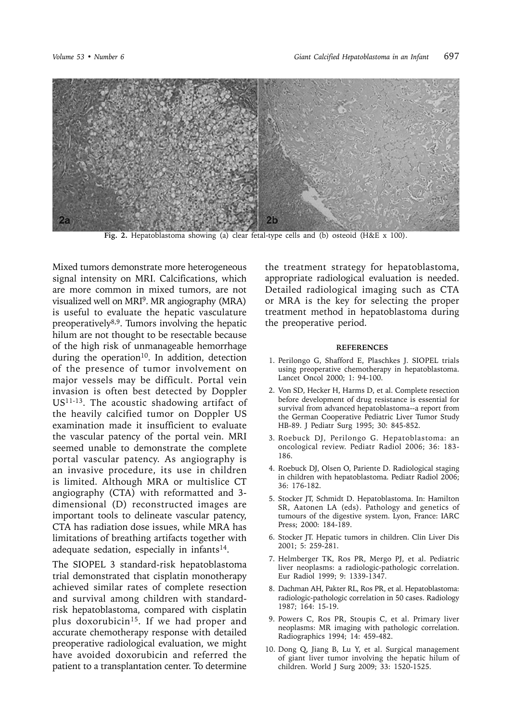

**Fig. 2.** Hepatoblastoma showing (a) clear fetal-type cells and (b) osteoid (H&E x 100).

Mixed tumors demonstrate more heterogeneous signal intensity on MRI. Calcifications, which are more common in mixed tumors, are not visualized well on MRI9. MR angiography (MRA) is useful to evaluate the hepatic vasculature preoperatively8,9. Tumors involving the hepatic hilum are not thought to be resectable because of the high risk of unmanageable hemorrhage during the operation<sup>10</sup>. In addition, detection of the presence of tumor involvement on major vessels may be difficult. Portal vein invasion is often best detected by Doppler US11-13. The acoustic shadowing artifact of the heavily calcified tumor on Doppler US examination made it insufficient to evaluate the vascular patency of the portal vein. MRI seemed unable to demonstrate the complete portal vascular patency. As angiography is an invasive procedure, its use in children is limited. Although MRA or multislice CT angiography (CTA) with reformatted and 3 dimensional (D) reconstructed images are important tools to delineate vascular patency, CTA has radiation dose issues, while MRA has limitations of breathing artifacts together with adequate sedation, especially in infants $14$ .

The SIOPEL 3 standard-risk hepatoblastoma trial demonstrated that cisplatin monotherapy achieved similar rates of complete resection and survival among children with standardrisk hepatoblastoma, compared with cisplatin plus doxorubicin<sup>15</sup>. If we had proper and accurate chemotherapy response with detailed preoperative radiological evaluation, we might have avoided doxorubicin and referred the patient to a transplantation center. To determine

the treatment strategy for hepatoblastoma, appropriate radiological evaluation is needed. Detailed radiological imaging such as CTA or MRA is the key for selecting the proper treatment method in hepatoblastoma during the preoperative period.

## **REFERENCES**

- 1. Perilongo G, Shafford E, Plaschkes J. SIOPEL trials using preoperative chemotherapy in hepatoblastoma. Lancet Oncol 2000; 1: 94-100.
- 2. Von SD, Hecker H, Harms D, et al. Complete resection before development of drug resistance is essential for survival from advanced hepatoblastoma--a report from the German Cooperative Pediatric Liver Tumor Study HB-89. J Pediatr Surg 1995; 30: 845-852.
- 3. Roebuck DJ, Perilongo G. Hepatoblastoma: an oncological review. Pediatr Radiol 2006; 36: 183- 186.
- 4. Roebuck DJ, Olsen O, Pariente D. Radiological staging in children with hepatoblastoma. Pediatr Radiol 2006; 36: 176-182.
- 5. Stocker JT, Schmidt D. Hepatoblastoma. In: Hamilton SR, Aatonen LA (eds). Pathology and genetics of tumours of the digestive system. Lyon, France: IARC Press; 2000: 184-189.
- 6. Stocker JT. Hepatic tumors in children. Clin Liver Dis 2001; 5: 259-281.
- 7. Helmberger TK, Ros PR, Mergo PJ, et al. Pediatric liver neoplasms: a radiologic-pathologic correlation. Eur Radiol 1999; 9: 1339-1347.
- 8. Dachman AH, Pakter RL, Ros PR, et al. Hepatoblastoma: radiologic-pathologic correlation in 50 cases. Radiology 1987; 164: 15-19.
- 9. Powers C, Ros PR, Stoupis C, et al. Primary liver neoplasms: MR imaging with pathologic correlation. Radiographics 1994; 14: 459-482.
- 10. Dong Q, Jiang B, Lu Y, et al. Surgical management of giant liver tumor involving the hepatic hilum of children. World J Surg 2009; 33: 1520-1525.